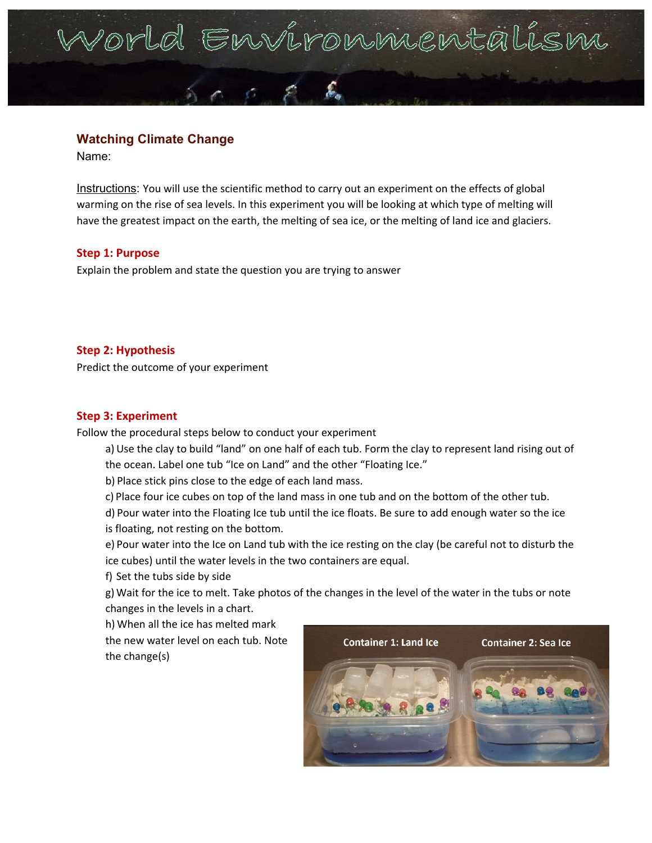# Vorld Environmentalism

# **Watching Climate Change**

Name:

Instructions: You will use the scientific method to carry out an experiment on the effects of global warming on the rise of sea levels. In this experiment you will be looking at which type of melting will have the greatest impact on the earth, the melting of sea ice, or the melting of land ice and glaciers.

#### **Step 1: Purpose**

Explain the problem and state the question you are trying to answer

#### **Step 2: Hypothesis**

Predict the outcome of your experiment

#### **Step 3: Experiment**

Follow the procedural steps below to conduct your experiment

- a)Use the clay to build "land" on one half of each tub. Form the clay to represent land rising out of the ocean. Label one tub "Ice on Land" and the other "Floating Ice."
- b) Place stick pins close to the edge of each land mass.
- c) Place four ice cubes on top of the land mass in one tub and on the bottom of the other tub.
- d) Pour water into the Floating Ice tub until the ice floats. Be sure to add enough water so the ice is floating, not resting on the bottom.
- e) Pour water into the Ice on Land tub with the ice resting on the clay (be careful not to disturb the ice cubes) until the water levels in the two containers are equal.
- f) Set the tubs side by side
- g) Wait for the ice to melt. Take photos of the changes in the level of the water in the tubs or note changes in the levels in a chart.

h) When all the ice has melted mark the new water level on each tub. Note the change(s)